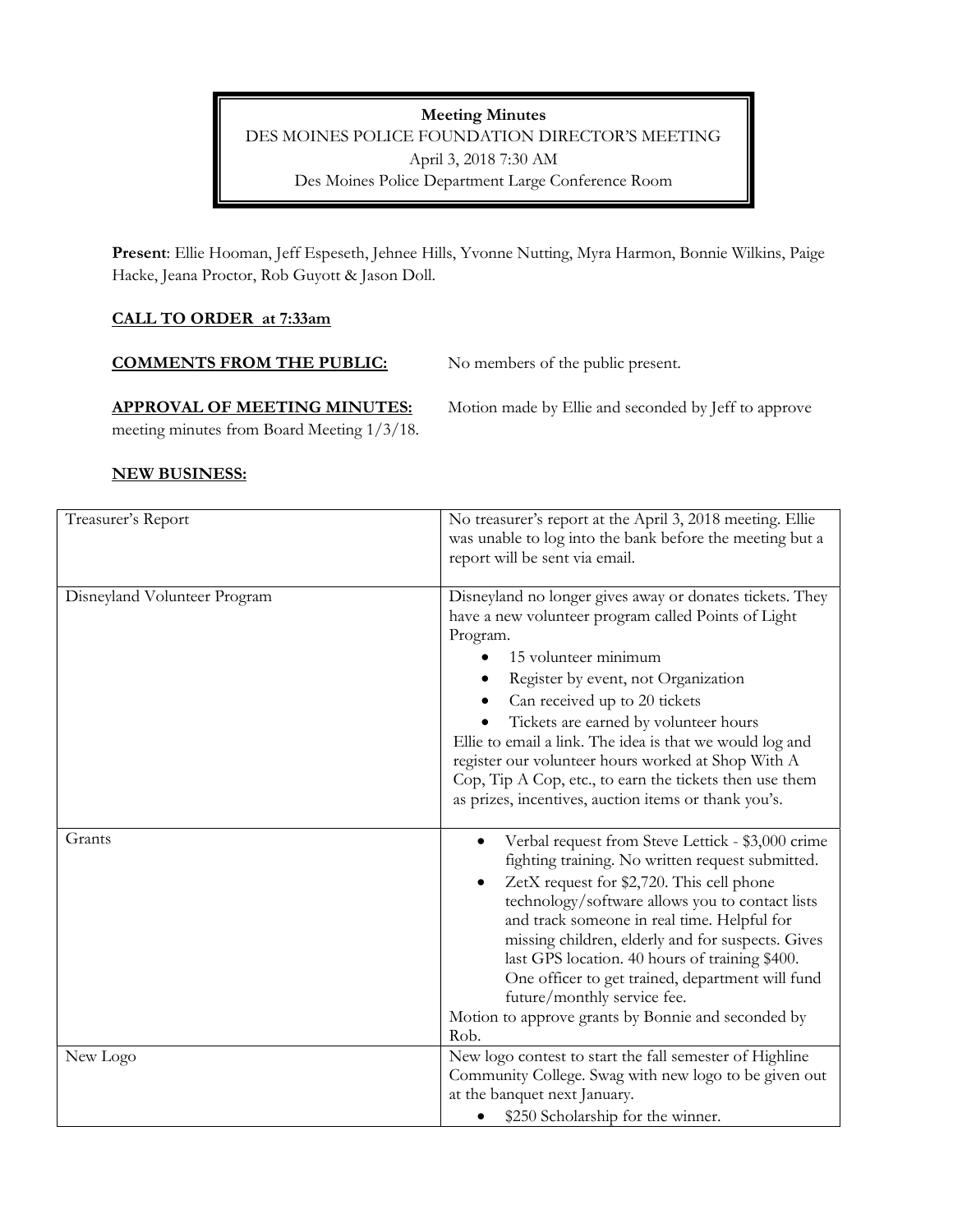Meeting Minutes DES MOINES POLICE FOUNDATION DIRECTOR'S MEETING April 3, 2018 7:30 AM Des Moines Police Department Large Conference Room

Present: Ellie Hooman, Jeff Espeseth, Jehnee Hills, Yvonne Nutting, Myra Harmon, Bonnie Wilkins, Paige Hacke, Jeana Proctor, Rob Guyott & Jason Doll.

## CALL TO ORDER at 7:33am

COMMENTS FROM THE PUBLIC: No members of the public present.

APPROVAL OF MEETING MINUTES: Motion made by Ellie and seconded by Jeff to approve

meeting minutes from Board Meeting 1/3/18.

### NEW BUSINESS:

| Treasurer's Report           | No treasurer's report at the April 3, 2018 meeting. Ellie<br>was unable to log into the bank before the meeting but a<br>report will be sent via email.                                                                                                                                                                                                                                                                                                                                                                   |
|------------------------------|---------------------------------------------------------------------------------------------------------------------------------------------------------------------------------------------------------------------------------------------------------------------------------------------------------------------------------------------------------------------------------------------------------------------------------------------------------------------------------------------------------------------------|
| Disneyland Volunteer Program | Disneyland no longer gives away or donates tickets. They<br>have a new volunteer program called Points of Light<br>Program.<br>15 volunteer minimum<br>Register by event, not Organization<br>Can received up to 20 tickets<br>Tickets are earned by volunteer hours<br>Ellie to email a link. The idea is that we would log and<br>register our volunteer hours worked at Shop With A<br>Cop, Tip A Cop, etc., to earn the tickets then use them<br>as prizes, incentives, auction items or thank you's.                 |
| Grants                       | Verbal request from Steve Lettick - \$3,000 crime<br>$\bullet$<br>fighting training. No written request submitted.<br>ZetX request for \$2,720. This cell phone<br>technology/software allows you to contact lists<br>and track someone in real time. Helpful for<br>missing children, elderly and for suspects. Gives<br>last GPS location. 40 hours of training \$400.<br>One officer to get trained, department will fund<br>future/monthly service fee.<br>Motion to approve grants by Bonnie and seconded by<br>Rob. |
| New Logo                     | New logo contest to start the fall semester of Highline<br>Community College. Swag with new logo to be given out<br>at the banquet next January.<br>\$250 Scholarship for the winner.                                                                                                                                                                                                                                                                                                                                     |